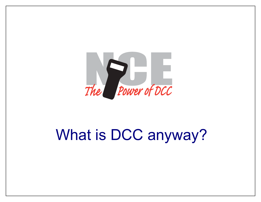

# What is DCC anyway?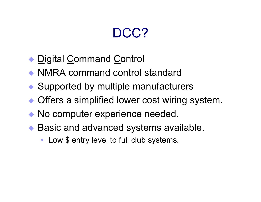### DCC?

- ◆ <u>D</u>igital <u>C</u>ommand <u>C</u>ontrol
- NMRA command control standard
- ◆ Supported by multiple manufacturers
- Offers a simplified lower cost wiring system.
- No computer experience needed.
- ◆ Basic and advanced systems available.
	- Low \$ entry level to full club systems.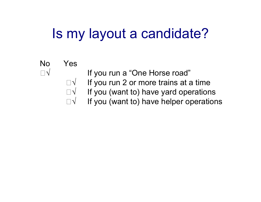## Is my layout a candidate?

#### No Yes $\sqrt{ }$  If you run a "One Horse road" If you run 2 or more trains at a time If you (want to) have yard operations If you (want to) have helper operations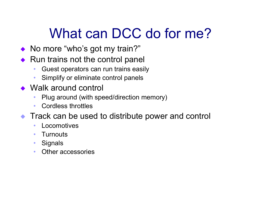## What can DCC do for me?

- $\blacklozenge$ No more "who's got my train?"
- $\blacklozenge$  Run trains not the control panel
	- ïGuest operators can run trains easily
	- ïSimplify or eliminate control panels
- $\rightarrow$  Walk around control
	- ïPlug around (with speed/direction memory)
	- ïCordless throttles
- **Track can be used to distribute power and control** 
	- $\bullet$ • Locomotives
	- ï**Turnouts**
	- $\bullet$ **Signals**
	- $\bullet$ Other accessories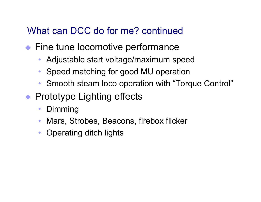#### What can DCC do for me? continued

- ◆ Fine tune locomotive performance
	- $\bullet$ Adjustable start voltage/maximum speed
	- $\bullet$ Speed matching for good MU operation
	- $\bullet$ Smooth steam loco operation with "Torque Control"
- ◆ Prototype Lighting effects
	- $\bullet$ Dimming
	- $\bullet$ Mars, Strobes, Beacons, firebox flicker
	- $\bullet$ Operating ditch lights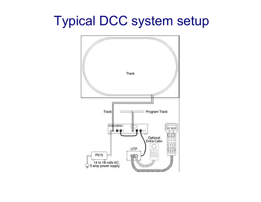### Typical DCC system setup

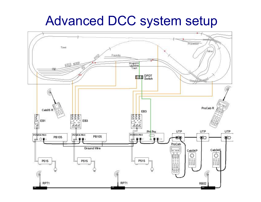### Advanced DCC system setup

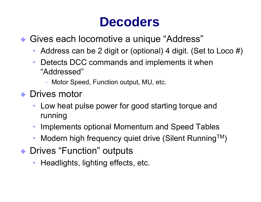### **Decoders**

#### • Gives each locomotive a unique "Address"

- Address can be 2 digit or (optional) 4 digit. (Set to Loco #)
- Detects DCC commands and implements it when "Addressed"
	- $-$  Motor Speed, Function output, MU, etc.
- ◆ Drives motor
	- Low heat pulse power for good starting torque and running
	- Implements optional Momentum and Speed Tables
	- Modern high frequency quiet drive (Silent Running<sup>TM</sup>)
- ◆ Drives "Function" outputs
	- Headlights, lighting effects, etc.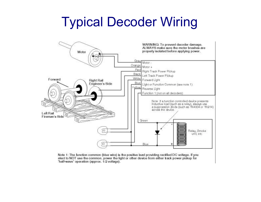## Typical Decoder Wiring



Note 1: The function common (blue wire) is the positive lead providing rectified DC voltage. If you elect to NOT use the common, power the light or other device from either track power pickup for 'half-wave' operation (approx. 1/2 voltage).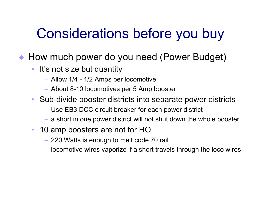## Considerations before you buy

◆ How much power do you need (Power Budget)

- $\bullet$ It's not size but quantity
	- $-$  Allow 1/4 1/2 Amps per locomotive
	- About 8-10 locomotives per 5 Amp booster
- Sub-divide booster districts into separate power districts
	- Use EB3 DCC circuit breaker for each power district
	- $-$  a short in one power district will not shut down the whole booster
- $\bullet$  10 amp boosters are not for HO
	- 220 Watts is enough to melt code 70 rail
	- $-$  locomotive wires vaporize if a short travels through the loco wires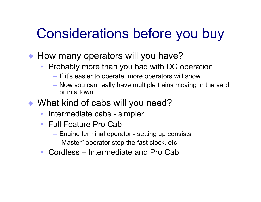## Considerations before you buy

◆ How many operators will you have?

- Probably more than you had with DC operation
	- $\overline{-}$  If it's easier to operate, more operators will show
	- $-$  Now you can really have multiple trains moving in the yard or in a town
- What kind of cabs will you need?
	- Intermediate cabs simpler
	- Full Feature Pro Cab
		- Engine terminal operator setting up consists
		- $\overline{\phantom{\alpha}}$  "Master" operator stop the fast clock, etc
	- Cordless Intermediate and Pro Cab